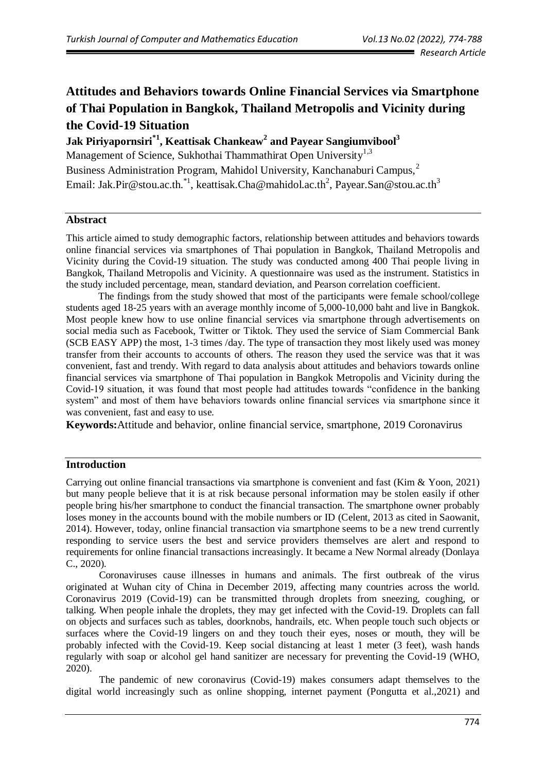# **Attitudes and Behaviors towards Online Financial Services via Smartphone of Thai Population in Bangkok, Thailand Metropolis and Vicinity during the Covid-19 Situation**

**Jak Piriyapornsiri\*1 , Keattisak Chankeaw<sup>2</sup> and Payear Sangiumvibool<sup>3</sup>** Management of Science, Sukhothai Thammathirat Open University<sup>1,3</sup> Business Administration Program, Mahidol University, Kanchanaburi Campus,<sup>2</sup> Email: Jak.Pir@stou.ac.th.<sup>\*1</sup>, keattisak.Cha@mahidol.ac.th<sup>2</sup>, Payear.San@stou.ac.th<sup>3</sup>

#### **Abstract**

This article aimed to study demographic factors, relationship between attitudes and behaviors towards online financial services via smartphones of Thai population in Bangkok, Thailand Metropolis and Vicinity during the Covid-19 situation. The study was conducted among 400 Thai people living in Bangkok, Thailand Metropolis and Vicinity. A questionnaire was used as the instrument. Statistics in the study included percentage, mean, standard deviation, and Pearson correlation coefficient.

The findings from the study showed that most of the participants were female school/college students aged 18-25 years with an average monthly income of 5,000-10,000 baht and live in Bangkok. Most people knew how to use online financial services via smartphone through advertisements on social media such as Facebook, Twitter or Tiktok. They used the service of Siam Commercial Bank (SCB EASY APP) the most, 1-3 times /day. The type of transaction they most likely used was money transfer from their accounts to accounts of others. The reason they used the service was that it was convenient, fast and trendy. With regard to data analysis about attitudes and behaviors towards online financial services via smartphone of Thai population in Bangkok Metropolis and Vicinity during the Covid-19 situation, it was found that most people had attitudes towards "confidence in the banking system" and most of them have behaviors towards online financial services via smartphone since it was convenient, fast and easy to use.

**Keywords:**Attitude and behavior, online financial service, smartphone, 2019 Coronavirus

# **Introduction**

Carrying out online financial transactions via smartphone is convenient and fast (Kim & Yoon, 2021) but many people believe that it is at risk because personal information may be stolen easily if other people bring his/her smartphone to conduct the financial transaction. The smartphone owner probably loses money in the accounts bound with the mobile numbers or ID (Celent, 2013 as cited in Saowanit, 2014). However, today, online financial transaction via smartphone seems to be a new trend currently responding to service users the best and service providers themselves are alert and respond to requirements for online financial transactions increasingly. It became a New Normal already (Donlaya C., 2020).

Coronaviruses cause illnesses in humans and animals. The first outbreak of the virus originated at Wuhan city of China in December 2019, affecting many countries across the world. Coronavirus 2019 (Covid-19) can be transmitted through droplets from sneezing, coughing, or talking. When people inhale the droplets, they may get infected with the Covid-19. Droplets can fall on objects and surfaces such as tables, doorknobs, handrails, etc. When people touch such objects or surfaces where the Covid-19 lingers on and they touch their eyes, noses or mouth, they will be probably infected with the Covid-19. Keep social distancing at least 1 meter (3 feet), wash hands regularly with soap or alcohol gel hand sanitizer are necessary for preventing the Covid-19 (WHO, 2020).

The pandemic of new coronavirus (Covid-19) makes consumers adapt themselves to the digital world increasingly such as online shopping, internet payment (Pongutta et al.,2021) and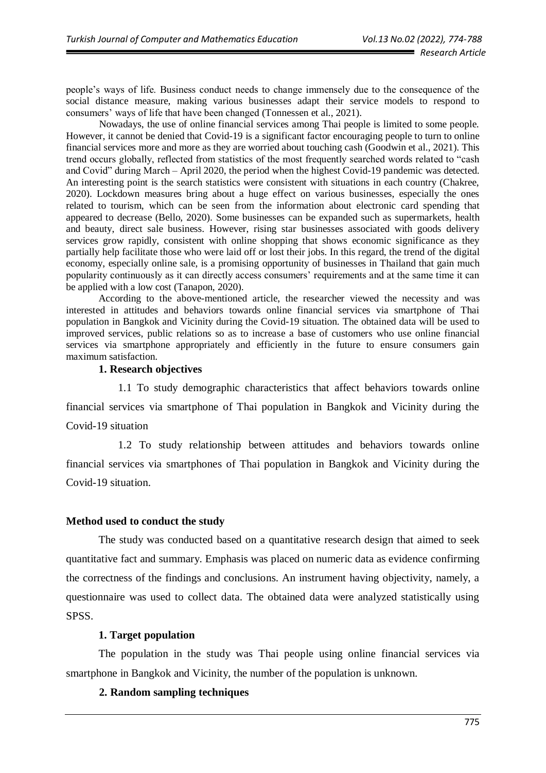people's ways of life. Business conduct needs to change immensely due to the consequence of the social distance measure, making various businesses adapt their service models to respond to consumers' ways of life that have been changed (Tonnessen et al., 2021).

Nowadays, the use of online financial services among Thai people is limited to some people. However, it cannot be denied that Covid-19 is a significant factor encouraging people to turn to online financial services more and more as they are worried about touching cash (Goodwin et al., 2021). This trend occurs globally, reflected from statistics of the most frequently searched words related to "cash and Covid" during March – April 2020, the period when the highest Covid-19 pandemic was detected. An interesting point is the search statistics were consistent with situations in each country (Chakree, 2020). Lockdown measures bring about a huge effect on various businesses, especially the ones related to tourism, which can be seen from the information about electronic card spending that appeared to decrease (Bello, 2020). Some businesses can be expanded such as supermarkets, health and beauty, direct sale business. However, rising star businesses associated with goods delivery services grow rapidly, consistent with online shopping that shows economic significance as they partially help facilitate those who were laid off or lost their jobs. In this regard, the trend of the digital economy, especially online sale, is a promising opportunity of businesses in Thailand that gain much popularity continuously as it can directly access consumers' requirements and at the same time it can be applied with a low cost (Tanapon, 2020).

According to the above-mentioned article, the researcher viewed the necessity and was interested in attitudes and behaviors towards online financial services via smartphone of Thai population in Bangkok and Vicinity during the Covid-19 situation. The obtained data will be used to improved services, public relations so as to increase a base of customers who use online financial services via smartphone appropriately and efficiently in the future to ensure consumers gain maximum satisfaction.

#### **1. Research objectives**

1.1 To study demographic characteristics that affect behaviors towards online financial services via smartphone of Thai population in Bangkok and Vicinity during the Covid-19 situation

1.2 To study relationship between attitudes and behaviors towards online financial services via smartphones of Thai population in Bangkok and Vicinity during the Covid-19 situation.

#### **Method used to conduct the study**

The study was conducted based on a quantitative research design that aimed to seek quantitative fact and summary. Emphasis was placed on numeric data as evidence confirming the correctness of the findings and conclusions. An instrument having objectivity, namely, a questionnaire was used to collect data. The obtained data were analyzed statistically using SPSS.

#### **1. Target population**

The population in the study was Thai people using online financial services via smartphone in Bangkok and Vicinity, the number of the population is unknown.

#### **2. Random sampling techniques**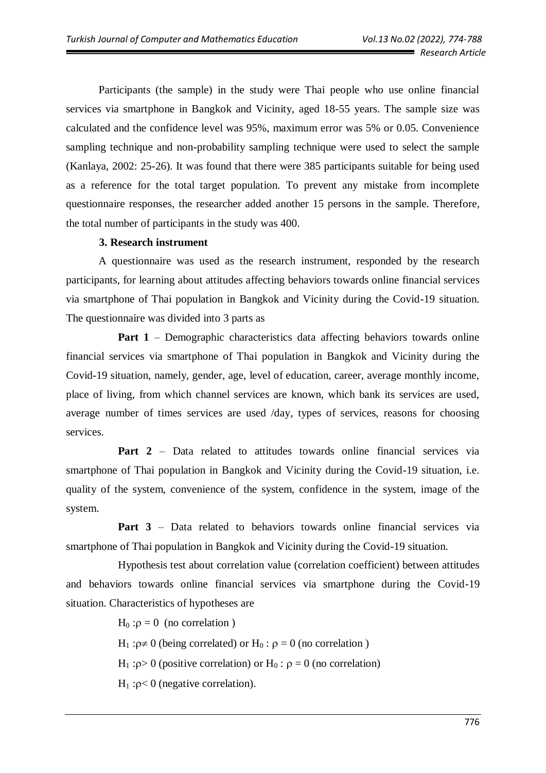Participants (the sample) in the study were Thai people who use online financial services via smartphone in Bangkok and Vicinity, aged 18-55 years. The sample size was calculated and the confidence level was 95%, maximum error was 5% or 0.05. Convenience sampling technique and non-probability sampling technique were used to select the sample (Kanlaya, 2002: 25-26). It was found that there were 385 participants suitable for being used as a reference for the total target population. To prevent any mistake from incomplete questionnaire responses, the researcher added another 15 persons in the sample. Therefore, the total number of participants in the study was 400.

#### **3. Research instrument**

A questionnaire was used as the research instrument, responded by the research participants, for learning about attitudes affecting behaviors towards online financial services via smartphone of Thai population in Bangkok and Vicinity during the Covid-19 situation. The questionnaire was divided into 3 parts as

**Part 1** – Demographic characteristics data affecting behaviors towards online financial services via smartphone of Thai population in Bangkok and Vicinity during the Covid-19 situation, namely, gender, age, level of education, career, average monthly income, place of living, from which channel services are known, which bank its services are used, average number of times services are used /day, types of services, reasons for choosing services.

**Part 2** – Data related to attitudes towards online financial services via smartphone of Thai population in Bangkok and Vicinity during the Covid-19 situation, i.e. quality of the system, convenience of the system, confidence in the system, image of the system.

Part 3 – Data related to behaviors towards online financial services via smartphone of Thai population in Bangkok and Vicinity during the Covid-19 situation.

Hypothesis test about correlation value (correlation coefficient) between attitudes and behaviors towards online financial services via smartphone during the Covid-19 situation. Characteristics of hypotheses are

 $H_0$ : $\rho = 0$  (no correlation)

 $H_1: \rho \neq 0$  (being correlated) or  $H_0: \rho = 0$  (no correlation)

H<sub>1</sub> : $\rho$  > 0 (positive correlation) or H<sub>0</sub> :  $\rho = 0$  (no correlation)

 $H_1: p < 0$  (negative correlation).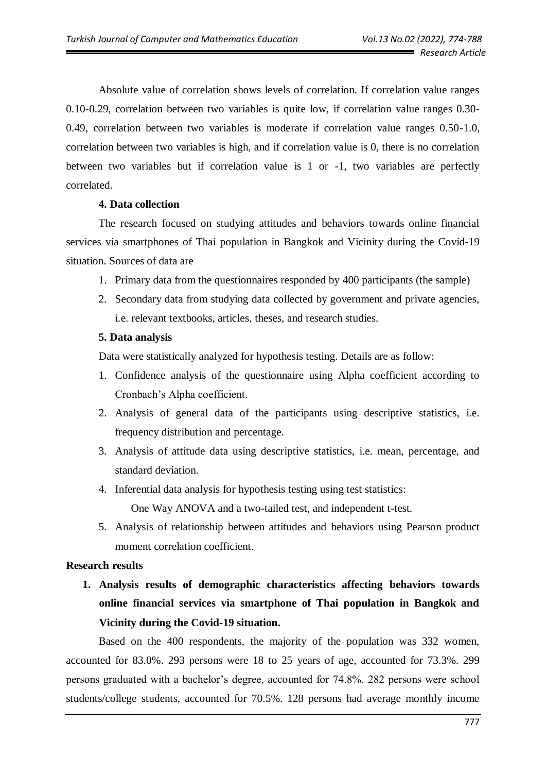Absolute value of correlation shows levels of correlation. If correlation value ranges 0.10-0.29, correlation between two variables is quite low, if correlation value ranges 0.30- 0.49, correlation between two variables is moderate if correlation value ranges 0.50-1.0, correlation between two variables is high, and if correlation value is 0, there is no correlation between two variables but if correlation value is 1 or -1, two variables are perfectly correlated.

#### **4. Data collection**

The research focused on studying attitudes and behaviors towards online financial services via smartphones of Thai population in Bangkok and Vicinity during the Covid-19 situation. Sources of data are

- 1. Primary data from the questionnaires responded by 400 participants (the sample)
- 2. Secondary data from studying data collected by government and private agencies, i.e. relevant textbooks, articles, theses, and research studies.

#### **5. Data analysis**

Data were statistically analyzed for hypothesis testing. Details are as follow:

- 1. Confidence analysis of the questionnaire using Alpha coefficient according to Cronbach's Alpha coefficient.
- 2. Analysis of general data of the participants using descriptive statistics, i.e. frequency distribution and percentage.
- 3. Analysis of attitude data using descriptive statistics, i.e. mean, percentage, and standard deviation.
- 4. Inferential data analysis for hypothesis testing using test statistics: One Way ANOVA and a two-tailed test, and independent t-test.
- 5. Analysis of relationship between attitudes and behaviors using Pearson product moment correlation coefficient.

# **Research results**

**1. Analysis results of demographic characteristics affecting behaviors towards online financial services via smartphone of Thai population in Bangkok and Vicinity during the Covid-19 situation.**

Based on the 400 respondents, the majority of the population was 332 women, accounted for 83.0%. 293 persons were 18 to 25 years of age, accounted for 73.3%. 299 persons graduated with a bachelor's degree, accounted for 74.8%. 282 persons were school students/college students, accounted for 70.5%. 128 persons had average monthly income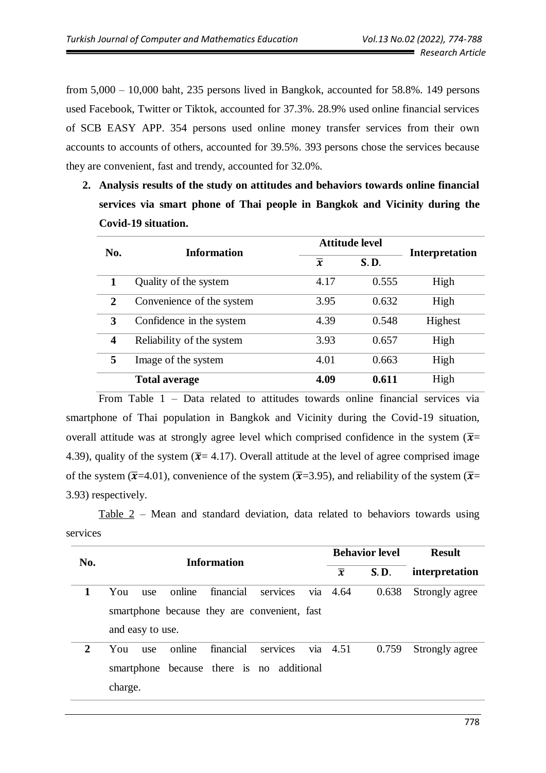from 5,000 – 10,000 baht, 235 persons lived in Bangkok, accounted for 58.8%. 149 persons used Facebook, Twitter or Tiktok, accounted for 37.3%. 28.9% used online financial services of SCB EASY APP. 354 persons used online money transfer services from their own accounts to accounts of others, accounted for 39.5%. 393 persons chose the services because they are convenient, fast and trendy, accounted for 32.0%.

**2. Analysis results of the study on attitudes and behaviors towards online financial services via smart phone of Thai people in Bangkok and Vicinity during the Covid-19 situation.**

| No. | <b>Information</b>        |                | <b>Attitude level</b> |                       |  |
|-----|---------------------------|----------------|-----------------------|-----------------------|--|
|     |                           | $\overline{x}$ | S.D.                  | <b>Interpretation</b> |  |
|     | Quality of the system     | 4.17           | 0.555                 | High                  |  |
| 2   | Convenience of the system | 3.95           | 0.632                 | High                  |  |
| 3   | Confidence in the system  | 4.39           | 0.548                 | Highest               |  |
| 4   | Reliability of the system | 3.93           | 0.657                 | High                  |  |
| 5   | Image of the system       | 4.01           | 0.663                 | High                  |  |
|     | <b>Total average</b>      | 4.09           | 0.611                 | High                  |  |

From Table 1 – Data related to attitudes towards online financial services via smartphone of Thai population in Bangkok and Vicinity during the Covid-19 situation, overall attitude was at strongly agree level which comprised confidence in the system ( $\bar{x}$ = 4.39), quality of the system ( $\bar{x}$ = 4.17). Overall attitude at the level of agree comprised image of the system ( $\bar{x}$ =4.01), convenience of the system ( $\bar{x}$ =3.95), and reliability of the system ( $\bar{x}$ = 3.93) respectively.

Table 2 – Mean and standard deviation, data related to behaviors towards using services

| No. | <b>Information</b>                            | <b>Behavior level</b>  | <b>Result</b>  |  |
|-----|-----------------------------------------------|------------------------|----------------|--|
|     |                                               | S.D.<br>$\overline{x}$ | interpretation |  |
| 1   | financial<br>online<br>You<br>services<br>use | via $4.64$<br>0.638    | Strongly agree |  |
|     | smartphone because they are convenient, fast  |                        |                |  |
|     | and easy to use.                              |                        |                |  |
| 2   | online<br>financial<br>services<br>You<br>use | via $4.51$<br>0.759    | Strongly agree |  |
|     | because there is no additional<br>smartphone  |                        |                |  |
|     | charge.                                       |                        |                |  |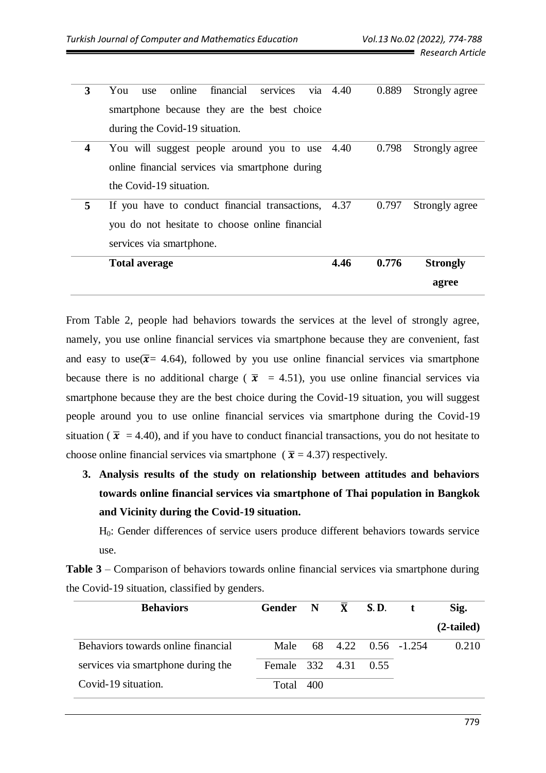| 3 | online<br>financial<br>services<br>You<br>use       | via $4.40$ | 0.889 | Strongly agree  |
|---|-----------------------------------------------------|------------|-------|-----------------|
|   |                                                     |            |       |                 |
|   | smartphone because they are the best choice         |            |       |                 |
|   |                                                     |            |       |                 |
|   | during the Covid-19 situation.                      |            |       |                 |
| 4 | You will suggest people around you to use 4.40      |            | 0.798 | Strongly agree  |
|   |                                                     |            |       |                 |
|   | online financial services via smartphone during     |            |       |                 |
|   | the Covid-19 situation.                             |            |       |                 |
|   |                                                     |            |       |                 |
| 5 | If you have to conduct financial transactions, 4.37 |            | 0.797 | Strongly agree  |
|   |                                                     |            |       |                 |
|   | you do not hesitate to choose online financial      |            |       |                 |
|   | services via smartphone.                            |            |       |                 |
|   |                                                     |            |       |                 |
|   | <b>Total average</b>                                | 4.46       | 0.776 | <b>Strongly</b> |
|   |                                                     |            |       | agree           |

From Table 2, people had behaviors towards the services at the level of strongly agree, namely, you use online financial services via smartphone because they are convenient, fast and easy to use  $(\bar{x} = 4.64)$ , followed by you use online financial services via smartphone because there is no additional charge ( $\bar{x}$  = 4.51), you use online financial services via smartphone because they are the best choice during the Covid-19 situation, you will suggest people around you to use online financial services via smartphone during the Covid-19 situation ( $\bar{x}$  = 4.40), and if you have to conduct financial transactions, you do not hesitate to choose online financial services via smartphone ( $\bar{x}$  = 4.37) respectively.

**3. Analysis results of the study on relationship between attitudes and behaviors towards online financial services via smartphone of Thai population in Bangkok and Vicinity during the Covid-19 situation.**

H0: Gender differences of service users produce different behaviors towards service use.

| <b>Table 3</b> – Comparison of behaviors towards online financial services via smartphone during |  |  |  |
|--------------------------------------------------------------------------------------------------|--|--|--|
| the Covid-19 situation, classified by genders.                                                   |  |  |  |

| <b>Behaviors</b>                   | Gender $N$ $\overline{X}$ S.D. |     |  |                          | Sig.         |
|------------------------------------|--------------------------------|-----|--|--------------------------|--------------|
|                                    |                                |     |  |                          | $(2-tailed)$ |
| Behaviors towards online financial |                                |     |  | Male 68 4.22 0.56 -1.254 | 0.210        |
| services via smartphone during the | Female 332 4.31 0.55           |     |  |                          |              |
| Covid-19 situation.                | Total                          | 400 |  |                          |              |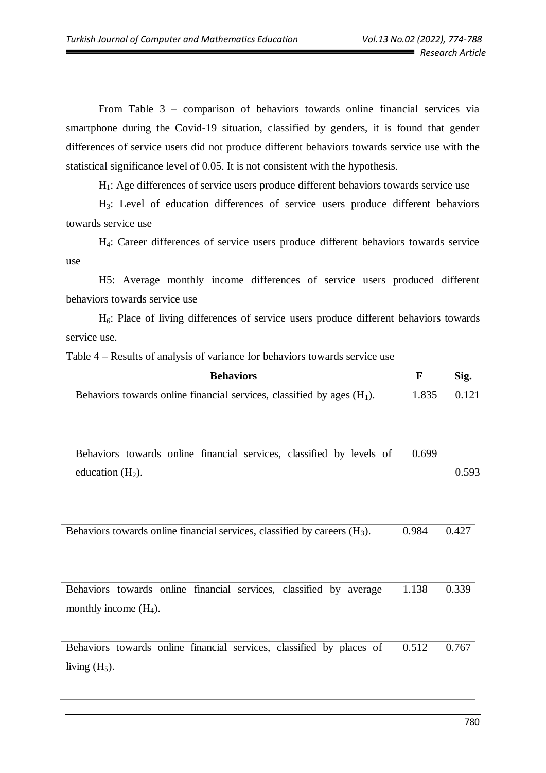From Table 3 – comparison of behaviors towards online financial services via smartphone during the Covid-19 situation, classified by genders, it is found that gender differences of service users did not produce different behaviors towards service use with the statistical significance level of 0.05. It is not consistent with the hypothesis.

H1: Age differences of service users produce different behaviors towards service use

H3: Level of education differences of service users produce different behaviors towards service use

H4: Career differences of service users produce different behaviors towards service use

H5: Average monthly income differences of service users produced different behaviors towards service use

H6: Place of living differences of service users produce different behaviors towards service use.

Table 4 – Results of analysis of variance for behaviors towards service use

| <b>Behaviors</b>                                                                               | $\mathbf{F}$ | Sig.  |
|------------------------------------------------------------------------------------------------|--------------|-------|
| Behaviors towards online financial services, classified by ages $(H_1)$ .                      | 1.835        | 0.121 |
| Behaviors towards online financial services, classified by levels of<br>education $(H2)$ .     | 0.699        | 0.593 |
| Behaviors towards online financial services, classified by careers $(H_3)$ .                   | 0.984        | 0.427 |
| Behaviors towards online financial services, classified by average<br>monthly income $(H_4)$ . | 1.138        | 0.339 |
| Behaviors towards online financial services, classified by places of<br>living $(H_5)$ .       | 0.512        | 0.767 |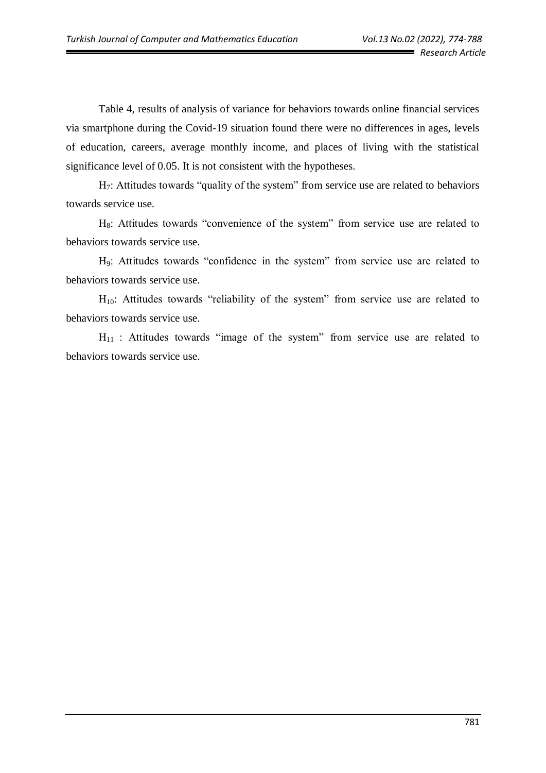Table 4, results of analysis of variance for behaviors towards online financial services via smartphone during the Covid-19 situation found there were no differences in ages, levels of education, careers, average monthly income, and places of living with the statistical significance level of 0.05. It is not consistent with the hypotheses.

H<sub>7</sub>: Attitudes towards "quality of the system" from service use are related to behaviors towards service use.

H<sub>8</sub>: Attitudes towards "convenience of the system" from service use are related to behaviors towards service use.

H9: Attitudes towards "confidence in the system" from service use are related to behaviors towards service use.

 $H_{10}$ : Attitudes towards "reliability of the system" from service use are related to behaviors towards service use.

 $H_{11}$  : Attitudes towards "image of the system" from service use are related to behaviors towards service use.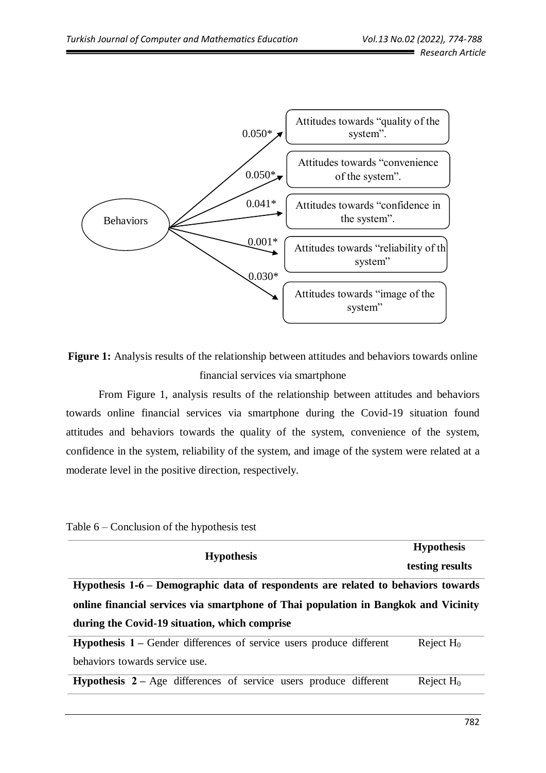

**Figure 1:** Analysis results of the relationship between attitudes and behaviors towards online financial services via smartphone

From Figure 1, analysis results of the relationship between attitudes and behaviors towards online financial services via smartphone during the Covid-19 situation found attitudes and behaviors towards the quality of the system, convenience of the system, confidence in the system, reliability of the system, and image of the system were related at a moderate level in the positive direction, respectively.

|  | Table $6$ – Conclusion of the hypothesis test |  |  |  |
|--|-----------------------------------------------|--|--|--|
|--|-----------------------------------------------|--|--|--|

| <b>Hypothesis</b>                                                                   | <b>Hypothesis</b> |  |  |  |
|-------------------------------------------------------------------------------------|-------------------|--|--|--|
|                                                                                     | testing results   |  |  |  |
| Hypothesis 1-6 – Demographic data of respondents are related to behaviors towards   |                   |  |  |  |
| online financial services via smartphone of Thai population in Bangkok and Vicinity |                   |  |  |  |
| during the Covid-19 situation, which comprise                                       |                   |  |  |  |
| <b>Hypothesis 1 – Gender differences of service users produce different</b>         | Reject $H_0$      |  |  |  |
| behaviors towards service use.                                                      |                   |  |  |  |

**Hypothesis 2 – Age differences** of service users produce different Reject  $H_0$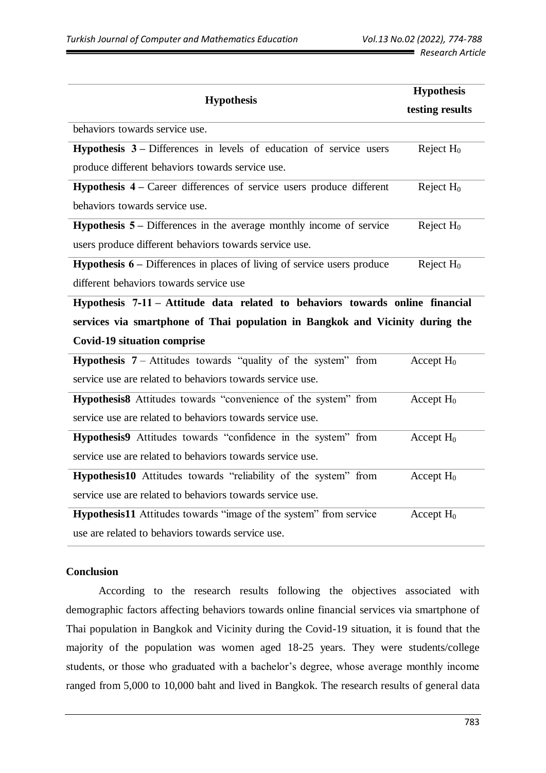|                                                                                             | <b>Hypothesis</b> |  |
|---------------------------------------------------------------------------------------------|-------------------|--|
| <b>Hypothesis</b>                                                                           | testing results   |  |
| behaviors towards service use.                                                              |                   |  |
| <b>Hypothesis <math>3</math></b> -Differences in levels of education of service users       | Reject $H_0$      |  |
| produce different behaviors towards service use.                                            |                   |  |
| Hypothesis 4 – Career differences of service users produce different                        | Reject $H_0$      |  |
| behaviors towards service use.                                                              |                   |  |
| <b>Hypothesis <math>5 -</math></b> Differences in the average monthly income of service     | Reject $H_0$      |  |
| users produce different behaviors towards service use.                                      |                   |  |
| <b>Hypothesis <math>6</math></b> – Differences in places of living of service users produce | Reject $H_0$      |  |
| different behaviors towards service use                                                     |                   |  |
| Hypothesis 7-11 – Attitude data related to behaviors towards online financial               |                   |  |
| services via smartphone of Thai population in Bangkok and Vicinity during the               |                   |  |
| <b>Covid-19 situation comprise</b>                                                          |                   |  |
| <b>Hypothesis 7</b> – Attitudes towards "quality of the system" from                        | Accept $H_0$      |  |
| service use are related to behaviors towards service use.                                   |                   |  |
| Hypothesis8 Attitudes towards "convenience of the system" from                              | Accept $H_0$      |  |
| service use are related to behaviors towards service use.                                   |                   |  |
| Hypothesis9 Attitudes towards "confidence in the system" from                               | Accept $H_0$      |  |
| service use are related to behaviors towards service use.                                   |                   |  |
| Hypothesis10 Attitudes towards "reliability of the system" from                             | Accept $H_0$      |  |
| service use are related to behaviors towards service use.                                   |                   |  |
| Hypothesis11 Attitudes towards "image of the system" from service                           | Accept $H_0$      |  |
| use are related to behaviors towards service use.                                           |                   |  |

## **Conclusion**

According to the research results following the objectives associated with demographic factors affecting behaviors towards online financial services via smartphone of Thai population in Bangkok and Vicinity during the Covid-19 situation, it is found that the majority of the population was women aged 18-25 years. They were students/college students, or those who graduated with a bachelor's degree, whose average monthly income ranged from 5,000 to 10,000 baht and lived in Bangkok. The research results of general data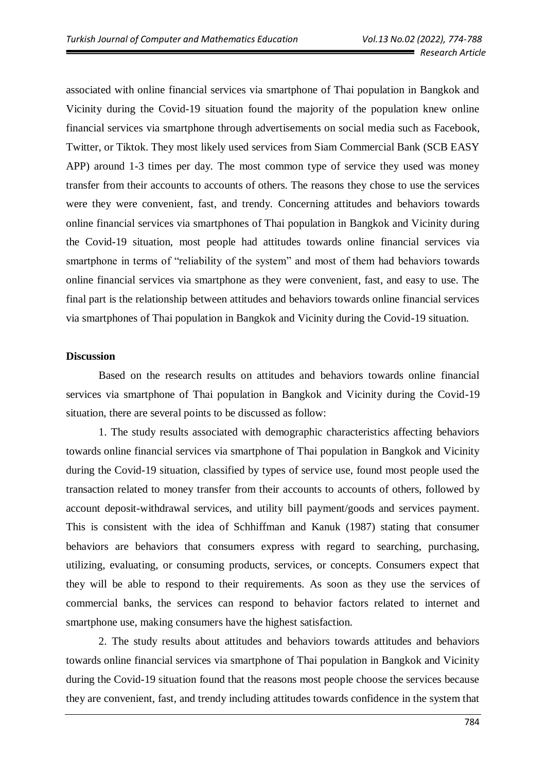associated with online financial services via smartphone of Thai population in Bangkok and Vicinity during the Covid-19 situation found the majority of the population knew online financial services via smartphone through advertisements on social media such as Facebook, Twitter, or Tiktok. They most likely used services from Siam Commercial Bank (SCB EASY APP) around 1-3 times per day. The most common type of service they used was money transfer from their accounts to accounts of others. The reasons they chose to use the services were they were convenient, fast, and trendy. Concerning attitudes and behaviors towards online financial services via smartphones of Thai population in Bangkok and Vicinity during the Covid-19 situation, most people had attitudes towards online financial services via smartphone in terms of "reliability of the system" and most of them had behaviors towards online financial services via smartphone as they were convenient, fast, and easy to use. The final part is the relationship between attitudes and behaviors towards online financial services via smartphones of Thai population in Bangkok and Vicinity during the Covid-19 situation.

#### **Discussion**

Based on the research results on attitudes and behaviors towards online financial services via smartphone of Thai population in Bangkok and Vicinity during the Covid-19 situation, there are several points to be discussed as follow:

1. The study results associated with demographic characteristics affecting behaviors towards online financial services via smartphone of Thai population in Bangkok and Vicinity during the Covid-19 situation, classified by types of service use, found most people used the transaction related to money transfer from their accounts to accounts of others, followed by account deposit-withdrawal services, and utility bill payment/goods and services payment. This is consistent with the idea of Schhiffman and Kanuk (1987) stating that consumer behaviors are behaviors that consumers express with regard to searching, purchasing, utilizing, evaluating, or consuming products, services, or concepts. Consumers expect that they will be able to respond to their requirements. As soon as they use the services of commercial banks, the services can respond to behavior factors related to internet and smartphone use, making consumers have the highest satisfaction.

2. The study results about attitudes and behaviors towards attitudes and behaviors towards online financial services via smartphone of Thai population in Bangkok and Vicinity during the Covid-19 situation found that the reasons most people choose the services because they are convenient, fast, and trendy including attitudes towards confidence in the system that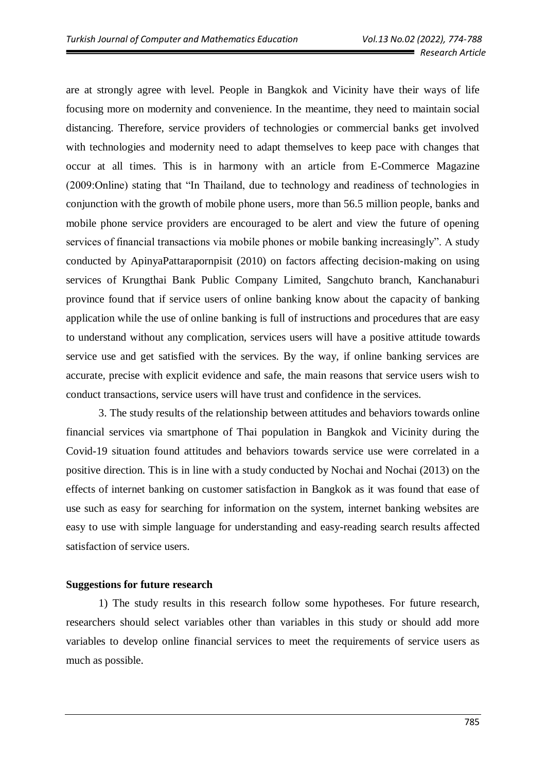are at strongly agree with level. People in Bangkok and Vicinity have their ways of life focusing more on modernity and convenience. In the meantime, they need to maintain social distancing. Therefore, service providers of technologies or commercial banks get involved with technologies and modernity need to adapt themselves to keep pace with changes that occur at all times. This is in harmony with an article from E-Commerce Magazine (2009:Online) stating that "In Thailand, due to technology and readiness of technologies in conjunction with the growth of mobile phone users, more than 56.5 million people, banks and mobile phone service providers are encouraged to be alert and view the future of opening services of financial transactions via mobile phones or mobile banking increasingly". A study conducted by ApinyaPattarapornpisit (2010) on factors affecting decision-making on using services of Krungthai Bank Public Company Limited, Sangchuto branch, Kanchanaburi province found that if service users of online banking know about the capacity of banking application while the use of online banking is full of instructions and procedures that are easy to understand without any complication, services users will have a positive attitude towards service use and get satisfied with the services. By the way, if online banking services are accurate, precise with explicit evidence and safe, the main reasons that service users wish to conduct transactions, service users will have trust and confidence in the services.

3. The study results of the relationship between attitudes and behaviors towards online financial services via smartphone of Thai population in Bangkok and Vicinity during the Covid-19 situation found attitudes and behaviors towards service use were correlated in a positive direction. This is in line with a study conducted by Nochai and Nochai (2013) on the effects of internet banking on customer satisfaction in Bangkok as it was found that ease of use such as easy for searching for information on the system, internet banking websites are easy to use with simple language for understanding and easy-reading search results affected satisfaction of service users.

#### **Suggestions for future research**

1) The study results in this research follow some hypotheses. For future research, researchers should select variables other than variables in this study or should add more variables to develop online financial services to meet the requirements of service users as much as possible.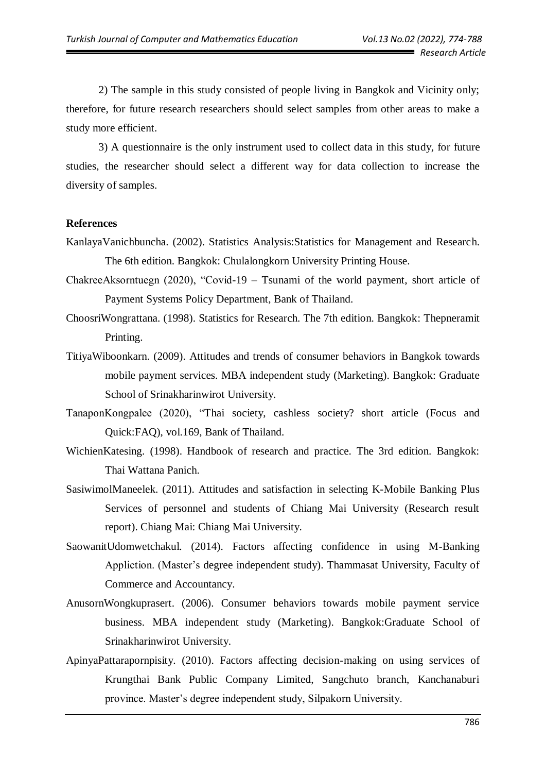2) The sample in this study consisted of people living in Bangkok and Vicinity only; therefore, for future research researchers should select samples from other areas to make a study more efficient.

3) A questionnaire is the only instrument used to collect data in this study, for future studies, the researcher should select a different way for data collection to increase the diversity of samples.

## **References**

- KanlayaVanichbuncha. (2002). Statistics Analysis:Statistics for Management and Research. The 6th edition. Bangkok: Chulalongkorn University Printing House.
- ChakreeAksorntuegn (2020), "Covid-19 Tsunami of the world payment, short article of Payment Systems Policy Department, Bank of Thailand.
- ChoosriWongrattana. (1998). Statistics for Research. The 7th edition. Bangkok: Thepneramit Printing.
- TitiyaWiboonkarn. (2009). Attitudes and trends of consumer behaviors in Bangkok towards mobile payment services. MBA independent study (Marketing). Bangkok: Graduate School of Srinakharinwirot University.
- TanaponKongpalee (2020), "Thai society, cashless society? short article (Focus and Quick:FAQ), vol.169, Bank of Thailand.
- WichienKatesing. (1998). Handbook of research and practice. The 3rd edition. Bangkok: Thai Wattana Panich.
- SasiwimolManeelek. (2011). Attitudes and satisfaction in selecting K-Mobile Banking Plus Services of personnel and students of Chiang Mai University (Research result report). Chiang Mai: Chiang Mai University.
- SaowanitUdomwetchakul. (2014). Factors affecting confidence in using M-Banking Appliction. (Master's degree independent study). Thammasat University, Faculty of Commerce and Accountancy.
- AnusornWongkuprasert. (2006). Consumer behaviors towards mobile payment service business. MBA independent study (Marketing). Bangkok:Graduate School of Srinakharinwirot University.
- ApinyaPattarapornpisity. (2010). Factors affecting decision-making on using services of Krungthai Bank Public Company Limited, Sangchuto branch, Kanchanaburi province. Master's degree independent study, Silpakorn University.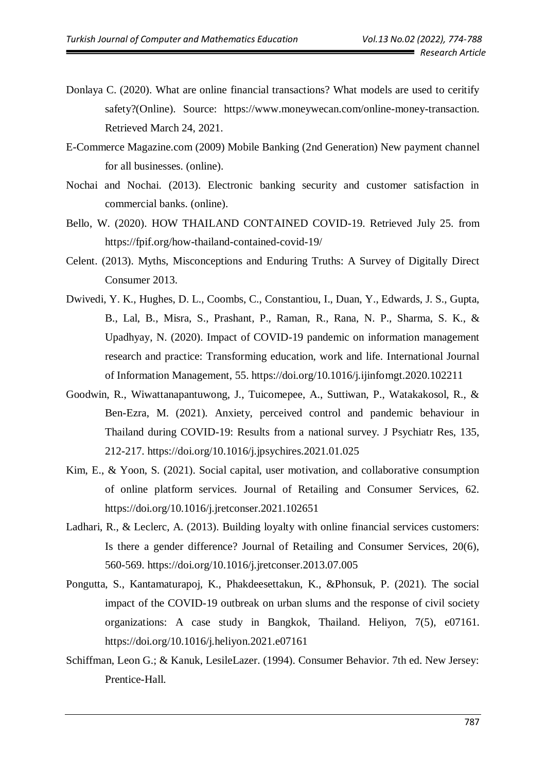- Donlaya C. (2020). What are online financial transactions? What models are used to ceritify safety?(Online). Source: https://www.moneywecan.com/online-money-transaction. Retrieved March 24, 2021.
- E-Commerce Magazine.com (2009) Mobile Banking (2nd Generation) New payment channel for all businesses. (online).
- Nochai and Nochai. (2013). Electronic banking security and customer satisfaction in commercial banks. (online).
- Bello, W. (2020). HOW THAILAND CONTAINED COVID-19. Retrieved July 25. from https://fpif.org/how-thailand-contained-covid-19/
- Celent. (2013). Myths, Misconceptions and Enduring Truths: A Survey of Digitally Direct Consumer 2013.
- Dwivedi, Y. K., Hughes, D. L., Coombs, C., Constantiou, I., Duan, Y., Edwards, J. S., Gupta, B., Lal, B., Misra, S., Prashant, P., Raman, R., Rana, N. P., Sharma, S. K., & Upadhyay, N. (2020). Impact of COVID-19 pandemic on information management research and practice: Transforming education, work and life. International Journal of Information Management, 55. https://doi.org/10.1016/j.ijinfomgt.2020.102211
- Goodwin, R., Wiwattanapantuwong, J., Tuicomepee, A., Suttiwan, P., Watakakosol, R., & Ben-Ezra, M. (2021). Anxiety, perceived control and pandemic behaviour in Thailand during COVID-19: Results from a national survey. J Psychiatr Res, 135, 212-217. https://doi.org/10.1016/j.jpsychires.2021.01.025
- Kim, E., & Yoon, S. (2021). Social capital, user motivation, and collaborative consumption of online platform services. Journal of Retailing and Consumer Services, 62. https://doi.org/10.1016/j.jretconser.2021.102651
- Ladhari, R., & Leclerc, A. (2013). Building loyalty with online financial services customers: Is there a gender difference? Journal of Retailing and Consumer Services, 20(6), 560-569. https://doi.org/10.1016/j.jretconser.2013.07.005
- Pongutta, S., Kantamaturapoj, K., Phakdeesettakun, K., &Phonsuk, P. (2021). The social impact of the COVID-19 outbreak on urban slums and the response of civil society organizations: A case study in Bangkok, Thailand. Heliyon, 7(5), e07161. https://doi.org/10.1016/j.heliyon.2021.e07161
- Schiffman, Leon G.; & Kanuk, LesileLazer. (1994). Consumer Behavior. 7th ed. New Jersey: Prentice-Hall.